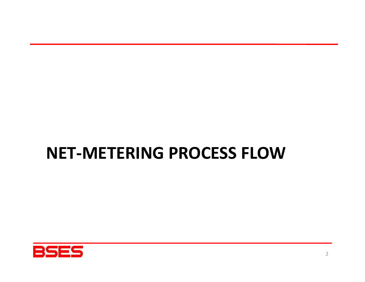# NET-METERING PROCESS FLOW

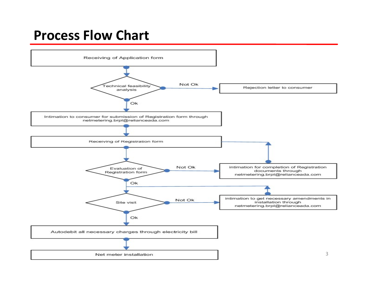### Process Flow Chart

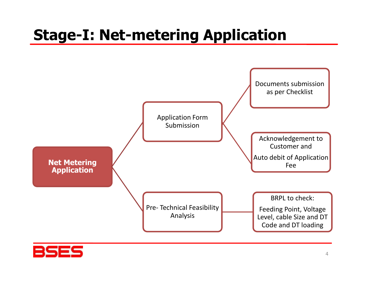# Stage-I: Net-metering Application



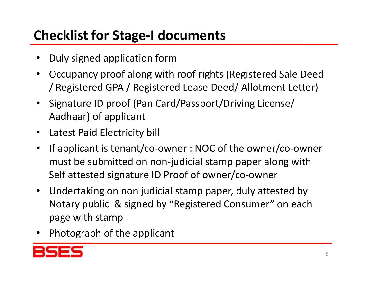## Checklist for Stage-I documents

- Duly signed application form
- Occupancy proof along with roof rights (Registered Sale Deed / Registered GPA / Registered Lease Deed/ Allotment Letter)
- Signature ID proof (Pan Card/Passport/Driving License/ Aadhaar) of applicant
- Latest Paid Electricity bill
- If applicant is tenant/co-owner : NOC of the owner/co-owner must be submitted on non-judicial stamp paper along with Self attested signature ID Proof of owner/co-owner
- Undertaking on non judicial stamp paper, duly attested by Notary public & signed by "Registered Consumer" on each page with stamp
- Photograph of the applicant

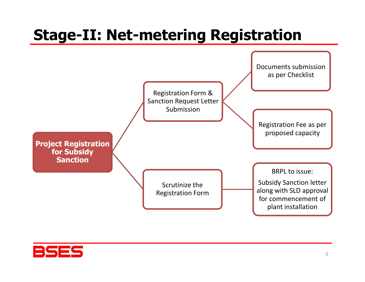# Stage-II: Net-metering Registration



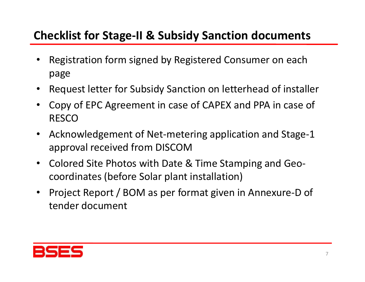#### Checklist for Stage-II & Subsidy Sanction documents

- Registration form signed by Registered Consumer on each page
- Request letter for Subsidy Sanction on letterhead of installer
- Copy of EPC Agreement in case of CAPEX and PPA in case of RESCO
- Acknowledgement of Net-metering application and Stage-1 approval received from DISCOM
- Colored Site Photos with Date & Time Stamping and Geocoordinates (before Solar plant installation)
- Project Report / BOM as per format given in Annexure-D of tender document

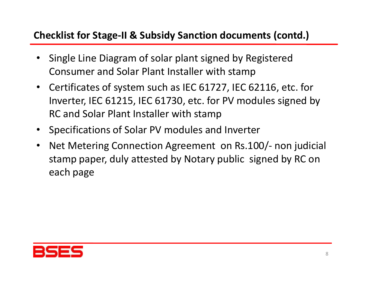#### Checklist for Stage-II & Subsidy Sanction documents (contd.)

- Single Line Diagram of solar plant signed by Registered Consumer and Solar Plant Installer with stamp
- Certificates of system such as IEC 61727, IEC 62116, etc. for Inverter, IEC 61215, IEC 61730, etc. for PV modules signed by RC and Solar Plant Installer with stamp
- Specifications of Solar PV modules and Inverter
- Net Metering Connection Agreement on Rs.100/- non judicial stamp paper, duly attested by Notary public signed by RC on each page

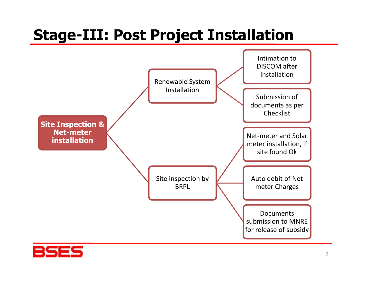# Stage-III: Post Project Installation



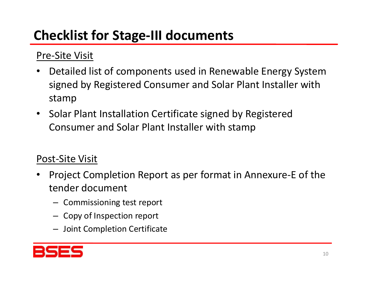## Checklist for Stage-III documents

#### Pre-Site Visit

- Detailed list of components used in Renewable Energy System signed by Registered Consumer and Solar Plant Installer with stamp
- Solar Plant Installation Certificate signed by Registered Consumer and Solar Plant Installer with stamp

#### Post-Site Visit

- Project Completion Report as per format in Annexure-E of the tender document
	- Commissioning test report
	- Copy of Inspection report
	- Joint Completion Certificate

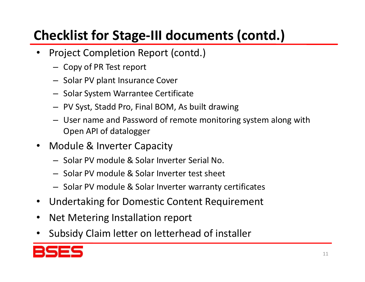## Checklist for Stage-III documents (contd.)

- Project Completion Report (contd.)
	- Copy of PR Test report
	- Solar PV plant Insurance Cover
	- Solar System Warrantee Certificate
	-
- **Ecklist for Stage-III documents (contd.)**<br>
Project Completion Report (contd.)<br>
 Copy of PR Test report<br>
 Solar PV plant Insurance Cover<br>
 Solar System Warrantee Certificate<br>
 PV Syst, Stadd Pro, Final BOM, As built dr Open API of datalogger
- Module & Inverter Capacity
	- Solar PV module & Solar Inverter Serial No.
	- Solar PV module & Solar Inverter test sheet
	- Solar PV module & Solar Inverter warranty certificates
- Undertaking for Domestic Content Requirement
- Net Metering Installation report
- Subsidy Claim letter on letterhead of installer

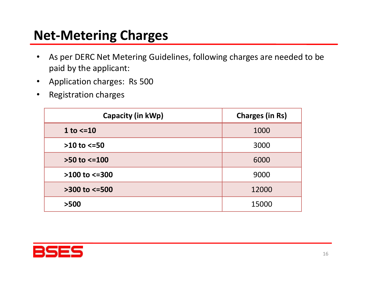### Net-Metering Charges

- As per DERC Net Metering Guidelines, following charges are needed to be paid by the applicant: **Vet-Metering Charges**<br>
• As per DERC Net Metering Guidelines, following charges are need<br>
paid by the applicant:<br>
• Application charges: Rs 500<br>
• Registration charges<br>
Capacity (in kWp) Charges (in Rs)
- 
- Registration charges

| Capacity (in kWp)    | <b>Charges (in Rs)</b> |
|----------------------|------------------------|
| 1 to $\leq$ 10       | 1000                   |
| $>10$ to $<=50$      | 3000                   |
| $>50$ to $<=100$     | 6000                   |
| $>100$ to $<=300$    | 9000                   |
| $>300$ to $\leq 500$ | 12000                  |
| >500                 | 15000                  |